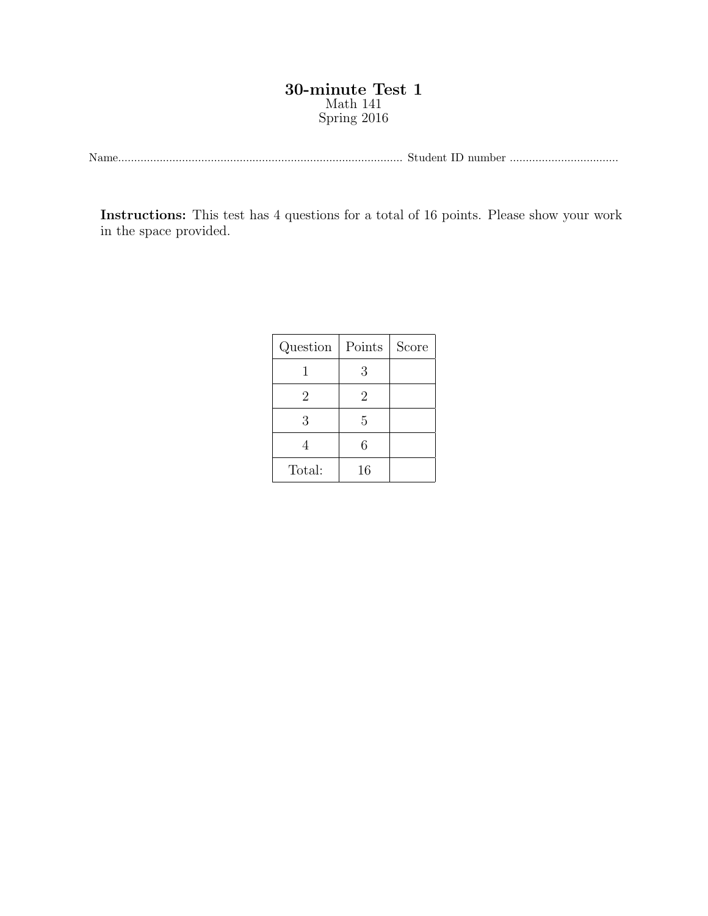## 30-minute Test 1 Math 141 Spring 2016

Name......................................................................................... Student ID number ..................................

Instructions: This test has 4 questions for a total of 16 points. Please show your work in the space provided.

| Question | Points         | Score |
|----------|----------------|-------|
|          | 3              |       |
| 2        | $\overline{2}$ |       |
| 3        | 5              |       |
|          | 6              |       |
| Total:   | 16             |       |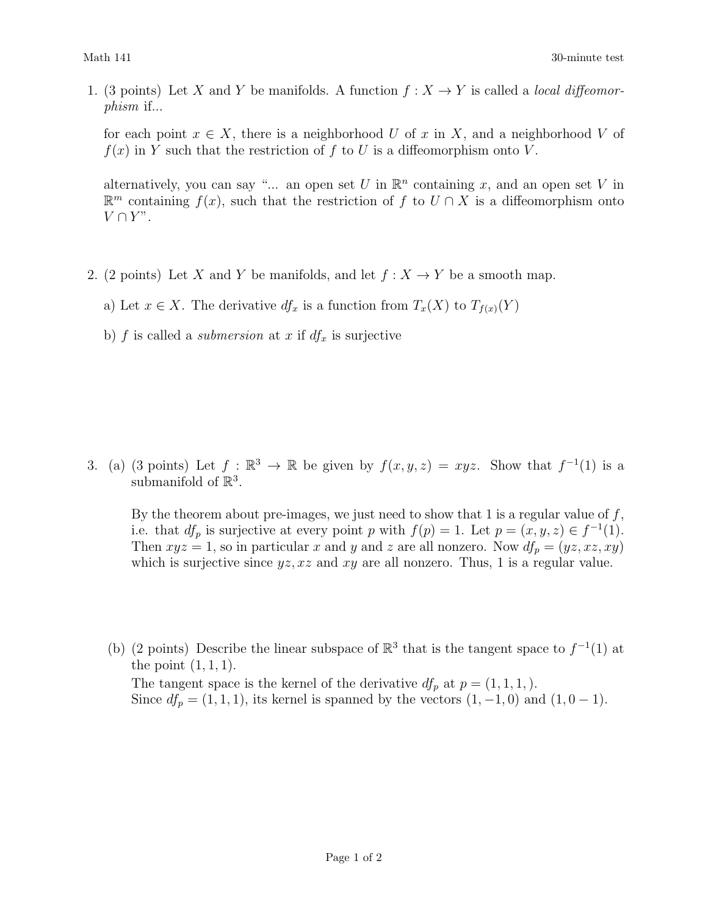1. (3 points) Let X and Y be manifolds. A function  $f: X \to Y$  is called a *local diffeomor*phism if...

for each point  $x \in X$ , there is a neighborhood U of x in X, and a neighborhood V of  $f(x)$  in Y such that the restriction of f to U is a diffeomorphism onto V.

alternatively, you can say "... an open set U in  $\mathbb{R}^n$  containing x, and an open set V in  $\mathbb{R}^m$  containing  $f(x)$ , such that the restriction of f to  $U \cap X$  is a diffeomorphism onto  $V \cap Y$ ".

- 2. (2 points) Let X and Y be manifolds, and let  $f: X \to Y$  be a smooth map.
	- a) Let  $x \in X$ . The derivative  $df_x$  is a function from  $T_x(X)$  to  $T_{f(x)}(Y)$
	- b) f is called a *submersion* at x if  $df_x$  is surjective

3. (a) (3 points) Let  $f : \mathbb{R}^3 \to \mathbb{R}$  be given by  $f(x, y, z) = xyz$ . Show that  $f^{-1}(1)$  is a submanifold of  $\mathbb{R}^3$ .

By the theorem about pre-images, we just need to show that 1 is a regular value of  $f$ , i.e. that  $df_p$  is surjective at every point p with  $f(p) = 1$ . Let  $p = (x, y, z) \in f^{-1}(1)$ . Then  $xyz = 1$ , so in particular x and y and z are all nonzero. Now  $df_p = (yz, xz, xy)$ which is surjective since  $yz$ ,  $xz$  and  $xy$  are all nonzero. Thus, 1 is a regular value.

(b) (2 points) Describe the linear subspace of  $\mathbb{R}^3$  that is the tangent space to  $f^{-1}(1)$  at the point  $(1, 1, 1)$ . The tangent space is the kernel of the derivative  $df_p$  at  $p = (1, 1, 1, ...)$ . Since  $df_p = (1, 1, 1)$ , its kernel is spanned by the vectors  $(1, -1, 0)$  and  $(1, 0, -1)$ .